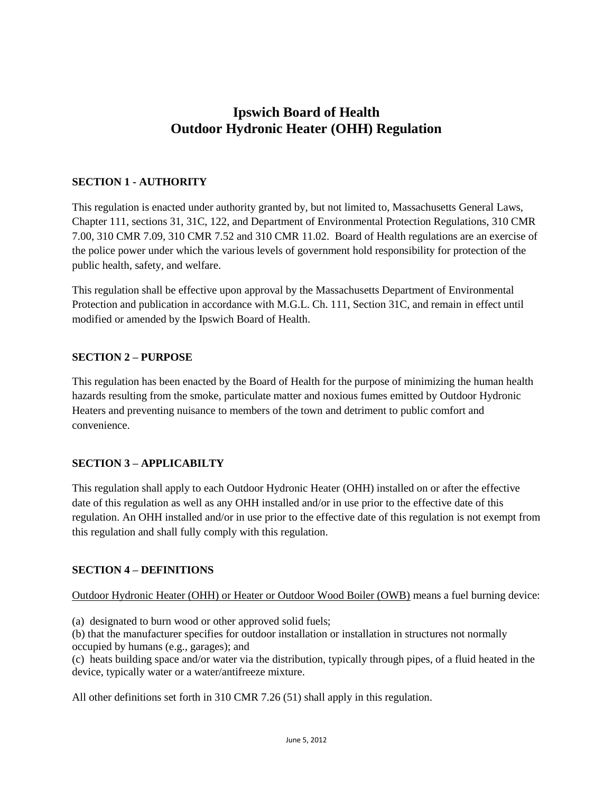# **Ipswich Board of Health Outdoor Hydronic Heater (OHH) Regulation**

### **SECTION 1 - AUTHORITY**

This regulation is enacted under authority granted by, but not limited to, Massachusetts General Laws, Chapter 111, sections 31, 31C, 122, and Department of Environmental Protection Regulations, 310 CMR 7.00, 310 CMR 7.09, 310 CMR 7.52 and 310 CMR 11.02. Board of Health regulations are an exercise of the police power under which the various levels of government hold responsibility for protection of the public health, safety, and welfare.

This regulation shall be effective upon approval by the Massachusetts Department of Environmental Protection and publication in accordance with M.G.L. Ch. 111, Section 31C, and remain in effect until modified or amended by the Ipswich Board of Health.

#### **SECTION 2 – PURPOSE**

This regulation has been enacted by the Board of Health for the purpose of minimizing the human health hazards resulting from the smoke, particulate matter and noxious fumes emitted by Outdoor Hydronic Heaters and preventing nuisance to members of the town and detriment to public comfort and convenience.

#### **SECTION 3 – APPLICABILTY**

This regulation shall apply to each Outdoor Hydronic Heater (OHH) installed on or after the effective date of this regulation as well as any OHH installed and/or in use prior to the effective date of this regulation. An OHH installed and/or in use prior to the effective date of this regulation is not exempt from this regulation and shall fully comply with this regulation.

#### **SECTION 4 – DEFINITIONS**

Outdoor Hydronic Heater (OHH) or Heater or Outdoor Wood Boiler (OWB) means a fuel burning device:

(a) designated to burn wood or other approved solid fuels;

(b) that the manufacturer specifies for outdoor installation or installation in structures not normally occupied by humans (e.g., garages); and

(c) heats building space and/or water via the distribution, typically through pipes, of a fluid heated in the device, typically water or a water/antifreeze mixture.

All other definitions set forth in 310 CMR 7.26 (51) shall apply in this regulation.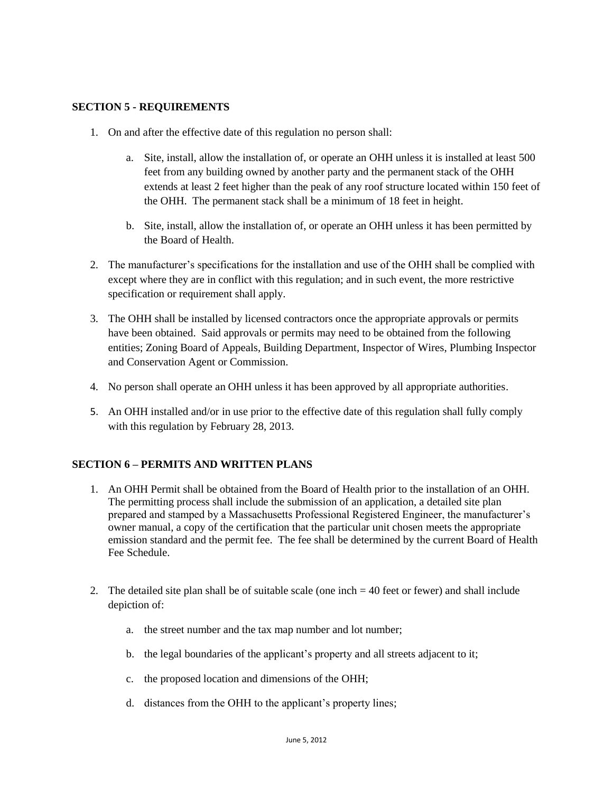#### **SECTION 5 - REQUIREMENTS**

- 1. On and after the effective date of this regulation no person shall:
	- a. Site, install, allow the installation of, or operate an OHH unless it is installed at least 500 feet from any building owned by another party and the permanent stack of the OHH extends at least 2 feet higher than the peak of any roof structure located within 150 feet of the OHH. The permanent stack shall be a minimum of 18 feet in height.
	- b. Site, install, allow the installation of, or operate an OHH unless it has been permitted by the Board of Health.
- 2. The manufacturer's specifications for the installation and use of the OHH shall be complied with except where they are in conflict with this regulation; and in such event, the more restrictive specification or requirement shall apply.
- 3. The OHH shall be installed by licensed contractors once the appropriate approvals or permits have been obtained. Said approvals or permits may need to be obtained from the following entities; Zoning Board of Appeals, Building Department, Inspector of Wires, Plumbing Inspector and Conservation Agent or Commission.
- 4. No person shall operate an OHH unless it has been approved by all appropriate authorities.
- 5. An OHH installed and/or in use prior to the effective date of this regulation shall fully comply with this regulation by February 28, 2013.

#### **SECTION 6 – PERMITS AND WRITTEN PLANS**

- 1. An OHH Permit shall be obtained from the Board of Health prior to the installation of an OHH. The permitting process shall include the submission of an application, a detailed site plan prepared and stamped by a Massachusetts Professional Registered Engineer, the manufacturer's owner manual, a copy of the certification that the particular unit chosen meets the appropriate emission standard and the permit fee. The fee shall be determined by the current Board of Health Fee Schedule.
- 2. The detailed site plan shall be of suitable scale (one inch  $=$  40 feet or fewer) and shall include depiction of:
	- a. the street number and the tax map number and lot number;
	- b. the legal boundaries of the applicant's property and all streets adjacent to it;
	- c. the proposed location and dimensions of the OHH;
	- d. distances from the OHH to the applicant's property lines;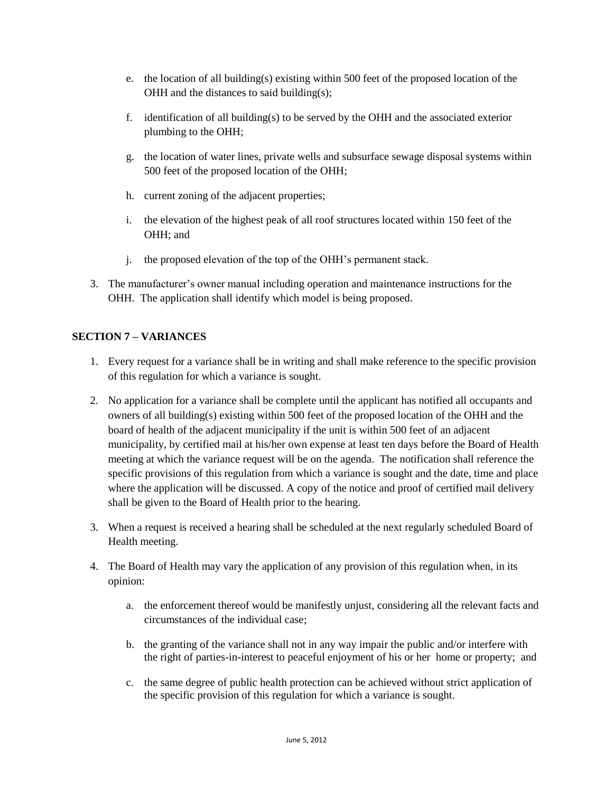- e. the location of all building(s) existing within 500 feet of the proposed location of the OHH and the distances to said building(s);
- f. identification of all building(s) to be served by the OHH and the associated exterior plumbing to the OHH;
- g. the location of water lines, private wells and subsurface sewage disposal systems within 500 feet of the proposed location of the OHH;
- h. current zoning of the adjacent properties;
- i. the elevation of the highest peak of all roof structures located within 150 feet of the OHH; and
- j. the proposed elevation of the top of the OHH's permanent stack.
- 3. The manufacturer's owner manual including operation and maintenance instructions for the OHH. The application shall identify which model is being proposed.

#### **SECTION 7 – VARIANCES**

- 1. Every request for a variance shall be in writing and shall make reference to the specific provision of this regulation for which a variance is sought.
- 2. No application for a variance shall be complete until the applicant has notified all occupants and owners of all building(s) existing within 500 feet of the proposed location of the OHH and the board of health of the adjacent municipality if the unit is within 500 feet of an adjacent municipality, by certified mail at his/her own expense at least ten days before the Board of Health meeting at which the variance request will be on the agenda. The notification shall reference the specific provisions of this regulation from which a variance is sought and the date, time and place where the application will be discussed. A copy of the notice and proof of certified mail delivery shall be given to the Board of Health prior to the hearing.
- 3. When a request is received a hearing shall be scheduled at the next regularly scheduled Board of Health meeting.
- 4. The Board of Health may vary the application of any provision of this regulation when, in its opinion:
	- a. the enforcement thereof would be manifestly unjust, considering all the relevant facts and circumstances of the individual case;
	- b. the granting of the variance shall not in any way impair the public and/or interfere with the right of parties-in-interest to peaceful enjoyment of his or her home or property; and
	- c. the same degree of public health protection can be achieved without strict application of the specific provision of this regulation for which a variance is sought.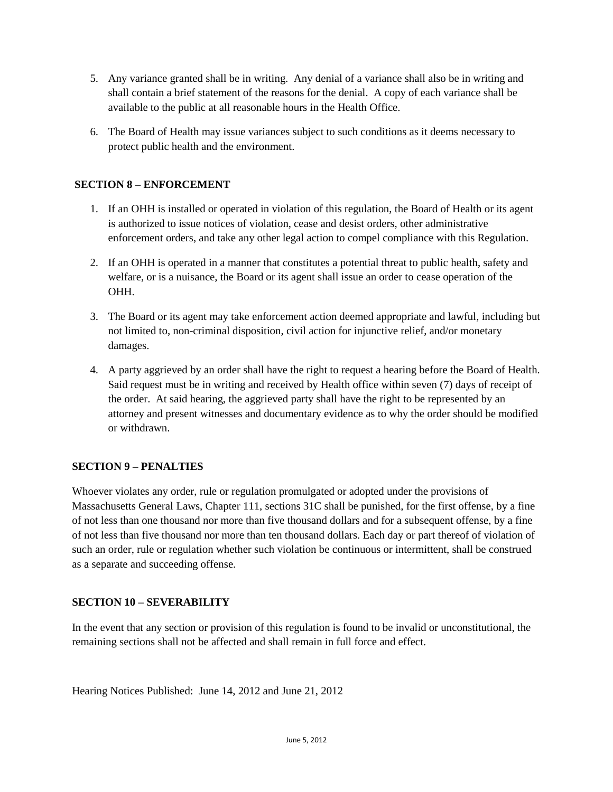- 5. Any variance granted shall be in writing. Any denial of a variance shall also be in writing and shall contain a brief statement of the reasons for the denial. A copy of each variance shall be available to the public at all reasonable hours in the Health Office.
- 6. The Board of Health may issue variances subject to such conditions as it deems necessary to protect public health and the environment.

## **SECTION 8 – ENFORCEMENT**

- 1. If an OHH is installed or operated in violation of this regulation, the Board of Health or its agent is authorized to issue notices of violation, cease and desist orders, other administrative enforcement orders, and take any other legal action to compel compliance with this Regulation.
- 2. If an OHH is operated in a manner that constitutes a potential threat to public health, safety and welfare, or is a nuisance, the Board or its agent shall issue an order to cease operation of the OHH.
- 3. The Board or its agent may take enforcement action deemed appropriate and lawful, including but not limited to, non-criminal disposition, civil action for injunctive relief, and/or monetary damages.
- 4. A party aggrieved by an order shall have the right to request a hearing before the Board of Health. Said request must be in writing and received by Health office within seven (7) days of receipt of the order. At said hearing, the aggrieved party shall have the right to be represented by an attorney and present witnesses and documentary evidence as to why the order should be modified or withdrawn.

#### **SECTION 9 – PENALTIES**

Whoever violates any order, rule or regulation promulgated or adopted under the provisions of Massachusetts General Laws, Chapter 111, sections 31C shall be punished, for the first offense, by a fine of not less than one thousand nor more than five thousand dollars and for a subsequent offense, by a fine of not less than five thousand nor more than ten thousand dollars. Each day or part thereof of violation of such an order, rule or regulation whether such violation be continuous or intermittent, shall be construed as a separate and succeeding offense.

#### **SECTION 10 – SEVERABILITY**

In the event that any section or provision of this regulation is found to be invalid or unconstitutional, the remaining sections shall not be affected and shall remain in full force and effect.

Hearing Notices Published: June 14, 2012 and June 21, 2012